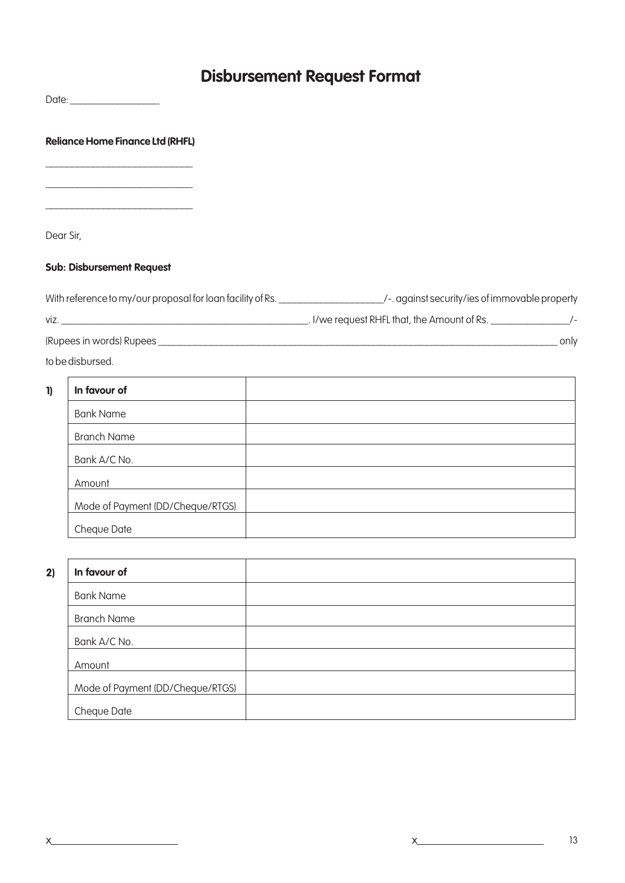## **Disbursement Request Format**

|              | <b>Reliance Home Finance Ltd (RHFL)</b> |                                                                                                                                |
|--------------|-----------------------------------------|--------------------------------------------------------------------------------------------------------------------------------|
|              |                                         |                                                                                                                                |
| Dear Sir,    |                                         |                                                                                                                                |
|              | <b>Sub: Disbursement Request</b>        |                                                                                                                                |
|              |                                         | With reference to my/our proposal for loan facility of Rs. _____________________/-. against security/ies of immovable property |
|              |                                         |                                                                                                                                |
|              |                                         |                                                                                                                                |
|              | to be disbursed.                        |                                                                                                                                |
| $\mathbf{I}$ | In favour of                            |                                                                                                                                |
|              | <b>Bank Name</b>                        |                                                                                                                                |
|              | <b>Branch Name</b>                      |                                                                                                                                |
|              | Bank A/C No.                            | the control of the control of the control of the control of the control of the control of                                      |
|              | Amount                                  |                                                                                                                                |
|              | Mode of Payment (DD/Cheque/RTGS)        |                                                                                                                                |
|              | Cheque Date                             |                                                                                                                                |
| 2)           | In favour of                            |                                                                                                                                |
|              | <b>Bank Name</b>                        |                                                                                                                                |
|              | <b>Branch Name</b>                      |                                                                                                                                |
|              | Bank A/C No.                            |                                                                                                                                |
|              | Amount                                  |                                                                                                                                |

Mode of Payment (DD/Cheque/RTGS)

 $\overline{\phantom{a}}$ 

Cheque Date

 $\times$   $\overline{\phantom{a}}$ 

 $x$  and  $x$  and  $x$  and  $x$  and  $x$  and  $x$  and  $x$  and  $x$  and  $x$  and  $x$  and  $x$  and  $x$  and  $x$  and  $x$  and  $x$  and  $x$  and  $x$  and  $x$  and  $x$  and  $x$  and  $x$  and  $x$  and  $x$  and  $x$  and  $x$  and  $x$  and  $x$  and  $x$  a